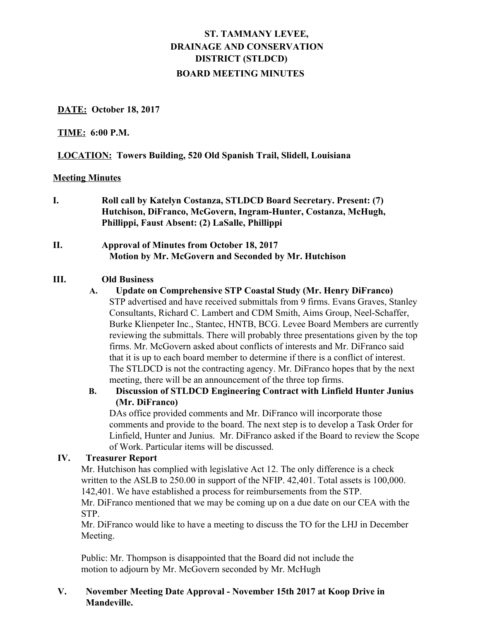# **ST. TAMMANY LEVEE, DRAINAGE AND CONSERVATION DISTRICT (STLDCD) BOARD MEETING MINUTES**

## **DATE: October 18, 2017**

#### **TIME: 6:00 P.M.**

## **LOCATION: Towers Building, 520 Old Spanish Trail, Slidell, Louisiana**

#### **Meeting Minutes**

**I. Roll call by Katelyn Costanza, STLDCD Board Secretary. Present: (7) Hutchison, DiFranco, McGovern, Ingram-Hunter, Costanza, McHugh, Phillippi, Faust Absent: (2) LaSalle, Phillippi**

# **II. Approval of Minutes from October 18, 2017 Motion by Mr. McGovern and Seconded by Mr. Hutchison**

#### **III. Old Business**

#### **A. Update on Comprehensive STP Coastal Study (Mr. Henry DiFranco)**

STP advertised and have received submittals from 9 firms. Evans Graves, Stanley Consultants, Richard C. Lambert and CDM Smith, Aims Group, Neel-Schaffer, Burke Klienpeter Inc., Stantec, HNTB, BCG. Levee Board Members are currently reviewing the submittals. There will probably three presentations given by the top firms. Mr. McGovern asked about conflicts of interests and Mr. DiFranco said that it is up to each board member to determine if there is a conflict of interest. The STLDCD is not the contracting agency. Mr. DiFranco hopes that by the next meeting, there will be an announcement of the three top firms.

# **B. Discussion of STLDCD Engineering Contract with Linfield Hunter Junius (Mr. DiFranco)**

 of Work. Particular items will be discussed. DAs office provided comments and Mr. DiFranco will incorporate those comments and provide to the board. The next step is to develop a Task Order for Linfield, Hunter and Junius. Mr. DiFranco asked if the Board to review the Scope

## **IV. Treasurer Report**

Mr. Hutchison has complied with legislative Act 12. The only difference is a check written to the ASLB to 250.00 in support of the NFIP. 42,401. Total assets is 100,000. 142,401. We have established a process for reimbursements from the STP.

Mr. DiFranco mentioned that we may be coming up on a due date on our CEA with the STP.

Mr. DiFranco would like to have a meeting to discuss the TO for the LHJ in December Meeting.

Public: Mr. Thompson is disappointed that the Board did not include the motion to adjourn by Mr. McGovern seconded by Mr. McHugh

## **V. November Meeting Date Approval - November 15th 2017 at Koop Drive in Mandeville.**